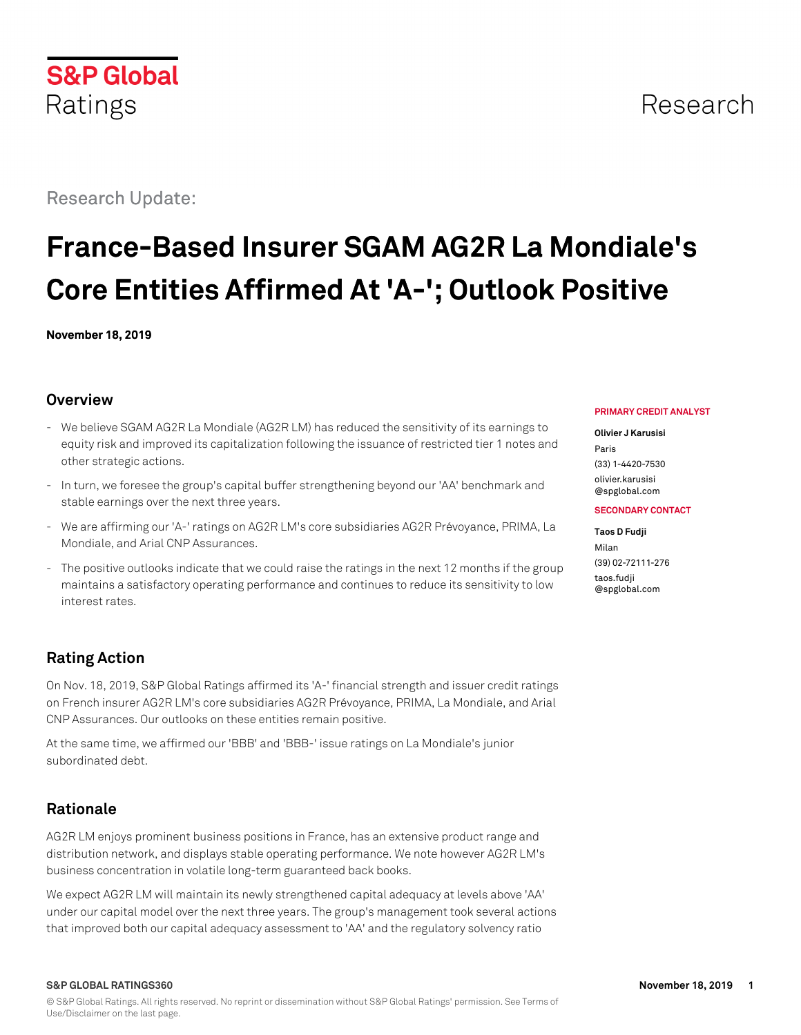Research Update:

# **France-Based Insurer SGAM AG2R La Mondiale's Core Entities Affirmed At 'A-'; Outlook Positive**

**November 18, 2019**

## **Overview**

- We believe SGAM AG2R La Mondiale (AG2R LM) has reduced the sensitivity of its earnings to equity risk and improved its capitalization following the issuance of restricted tier 1 notes and other strategic actions.
- In turn, we foresee the group's capital buffer strengthening beyond our 'AA' benchmark and stable earnings over the next three years.
- We are affirming our 'A-' ratings on AG2R LM's core subsidiaries AG2R Prévoyance, PRIMA, La Mondiale, and Arial CNP Assurances.
- The positive outlooks indicate that we could raise the ratings in the next 12 months if the group maintains a satisfactory operating performance and continues to reduce its sensitivity to low interest rates.

## **Rating Action**

On Nov. 18, 2019, S&P Global Ratings affirmed its 'A-' financial strength and issuer credit ratings on French insurer AG2R LM's core subsidiaries AG2R Prévoyance, PRIMA, La Mondiale, and Arial CNP Assurances. Our outlooks on these entities remain positive.

At the same time, we affirmed our 'BBB' and 'BBB-' issue ratings on La Mondiale's junior subordinated debt.

## **Rationale**

AG2R LM enjoys prominent business positions in France, has an extensive product range and distribution network, and displays stable operating performance. We note however AG2R LM's business concentration in volatile long-term guaranteed back books.

We expect AG2R LM will maintain its newly strengthened capital adequacy at levels above 'AA' under our capital model over the next three years. The group's management took several actions that improved both our capital adequacy assessment to 'AA' and the regulatory solvency ratio

#### **PRIMARY CREDIT ANALYST**

#### **Olivier J Karusisi**

Paris (33) 1-4420-7530 [olivier.karusisi](mailto:olivier.karusisi@spglobal.com) [@spglobal.com](mailto:olivier.karusisi@spglobal.com)

#### **SECONDARY CONTACT**

#### **Taos D Fudji**

Milan (39) 02-72111-276 [taos.fudji](mailto:taos.fudji@spglobal.com) [@spglobal.com](mailto:taos.fudji@spglobal.com)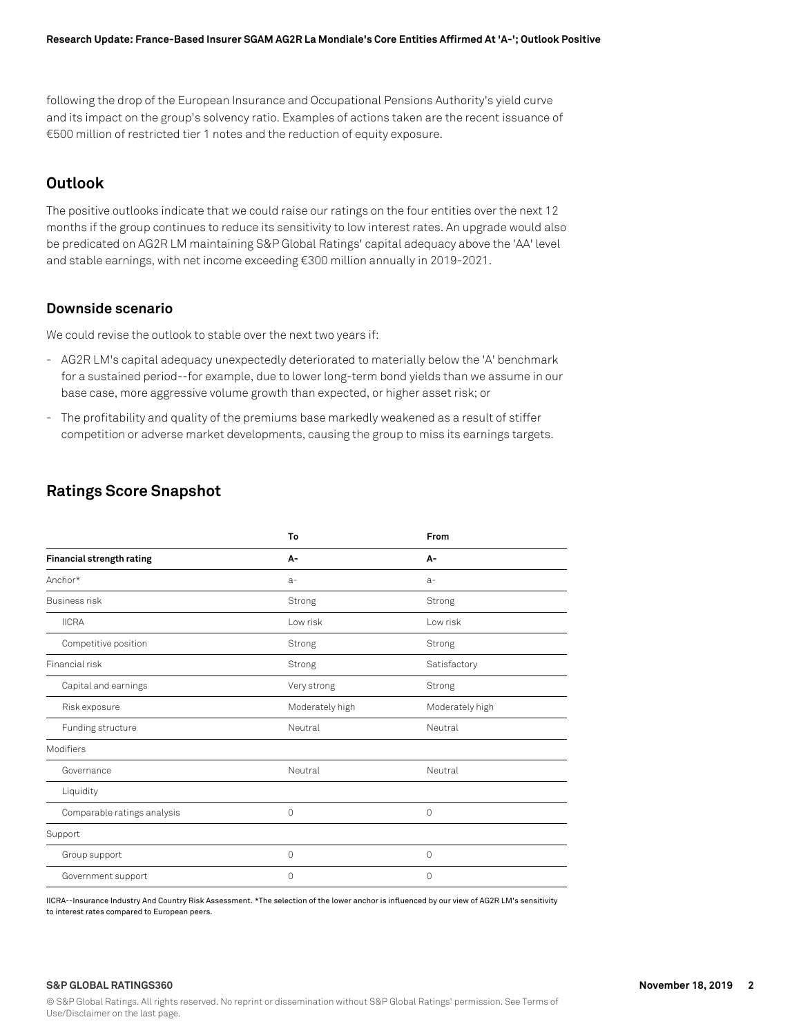following the drop of the European Insurance and Occupational Pensions Authority's yield curve and its impact on the group's solvency ratio. Examples of actions taken are the recent issuance of €500 million of restricted tier 1 notes and the reduction of equity exposure.

## **Outlook**

The positive outlooks indicate that we could raise our ratings on the four entities over the next 12 months if the group continues to reduce its sensitivity to low interest rates. An upgrade would also be predicated on AG2R LM maintaining S&P Global Ratings' capital adequacy above the 'AA' level and stable earnings, with net income exceeding €300 million annually in 2019-2021.

## **Downside scenario**

We could revise the outlook to stable over the next two years if:

- AG2R LM's capital adequacy unexpectedly deteriorated to materially below the 'A' benchmark for a sustained period--for example, due to lower long-term bond yields than we assume in our base case, more aggressive volume growth than expected, or higher asset risk; or
- The profitability and quality of the premiums base markedly weakened as a result of stiffer competition or adverse market developments, causing the group to miss its earnings targets.

## **Ratings Score Snapshot**

|                             | To              | From            |  |
|-----------------------------|-----------------|-----------------|--|
| Financial strength rating   | А-              | A-              |  |
| Anchor*                     | $a-$            | $a-$            |  |
| <b>Business risk</b>        | Strong          | Strong          |  |
| <b>IICRA</b>                | Low risk        | Low risk        |  |
| Competitive position        | Strong          | Strong          |  |
| Financial risk              | Strong          | Satisfactory    |  |
| Capital and earnings        | Very strong     | Strong          |  |
| Risk exposure               | Moderately high | Moderately high |  |
| Funding structure           | Neutral         | Neutral         |  |
| Modifiers                   |                 |                 |  |
| Governance                  | Neutral         | Neutral         |  |
| Liquidity                   |                 |                 |  |
| Comparable ratings analysis | 0               | 0               |  |
| Support                     |                 |                 |  |
| Group support               | 0               | 0               |  |
| Government support          | 0               | 0               |  |

IICRA--Insurance Industry And Country Risk Assessment. \*The selection of the lower anchor is influenced by our view of AG2R LM's sensitivity to interest rates compared to European peers.

#### **S&P GLOBAL RATINGS360 November 18, 2019 2**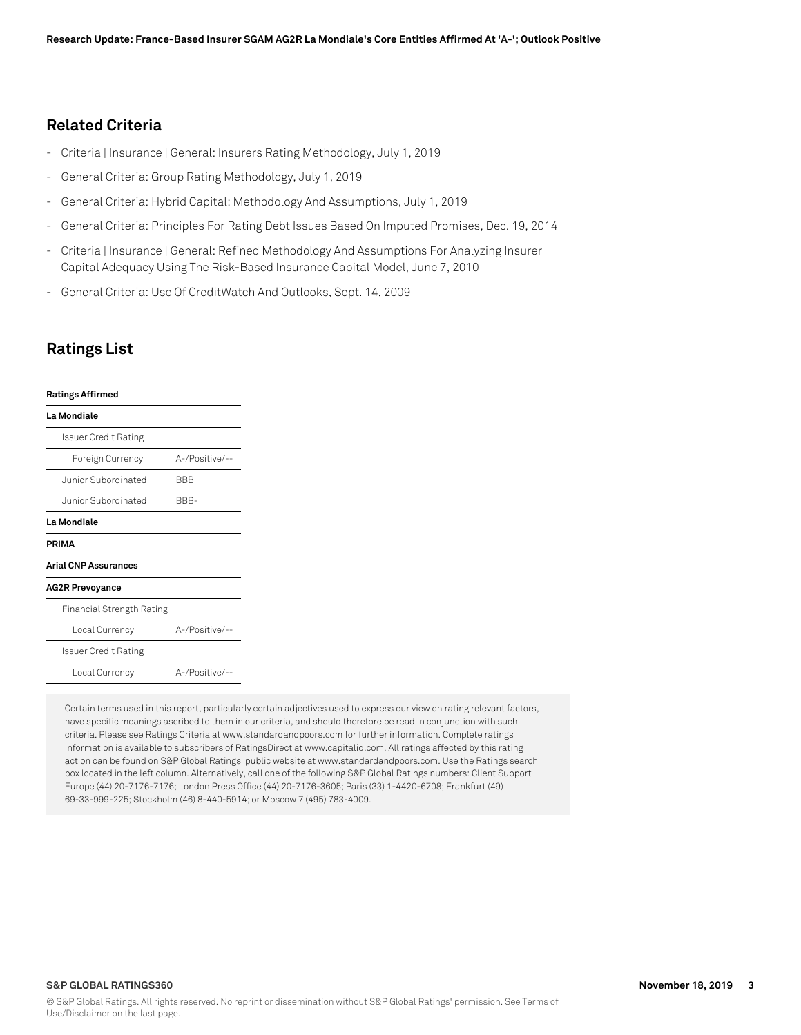## **Related Criteria**

- Criteria | Insurance | General: Insurers Rating Methodology, July 1, 2019
- General Criteria: Group Rating Methodology, July 1, 2019
- General Criteria: Hybrid Capital: Methodology And Assumptions, July 1, 2019
- General Criteria: Principles For Rating Debt Issues Based On Imputed Promises, Dec. 19, 2014
- Criteria | Insurance | General: Refined Methodology And Assumptions For Analyzing Insurer Capital Adequacy Using The Risk-Based Insurance Capital Model, June 7, 2010
- General Criteria: Use Of CreditWatch And Outlooks, Sept. 14, 2009

## **Ratings List**

### **Ratings Affirmed**

| La Mondiale                 |                |
|-----------------------------|----------------|
| Issuer Credit Rating        |                |
| Foreign Currency            | A-/Positive/-- |
| Junior Subordinated         | BBB            |
| Junior Subordinated         | BBB-           |
| La Mondiale                 |                |
| PRIMA                       |                |
| <b>Arial CNP Assurances</b> |                |
| <b>AG2R Prevoyance</b>      |                |
| Financial Strength Rating   |                |
| Local Currency              | A-/Positive/-- |
| Issuer Credit Rating        |                |
| Local Currency              | A-/Positive/-- |
|                             |                |

Certain terms used in this report, particularly certain adjectives used to express our view on rating relevant factors, have specific meanings ascribed to them in our criteria, and should therefore be read in conjunction with such criteria. Please see Ratings Criteria at www.standardandpoors.com for further information. Complete ratings information is available to subscribers of RatingsDirect at www.capitaliq.com. All ratings affected by this rating action can be found on S&P Global Ratings' public website at www.standardandpoors.com. Use the Ratings search box located in the left column. Alternatively, call one of the following S&P Global Ratings numbers: Client Support Europe (44) 20-7176-7176; London Press Office (44) 20-7176-3605; Paris (33) 1-4420-6708; Frankfurt (49) 69-33-999-225; Stockholm (46) 8-440-5914; or Moscow 7 (495) 783-4009.